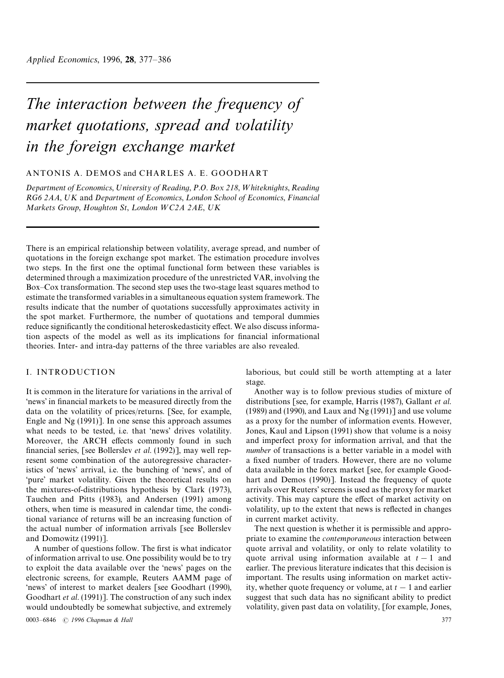# *The interaction between the frequency of market quotations, spread and volatility in the foreign exchange market*

# ANTONIS A. DEMOS and CHARLES A. E. GOODHART

*Department of Economics, University of Reading, P.O. Box 218, W hiteknights, Reading*  $R$ *G*<sup>6</sup> 2*AA*, *UK* and *Department of Economics*, *London School of Economics*, *Financial Markets Group, Houghton St, London WC2A 2AE, UK* 

There is an empirical relationship between volatility, average spread, and number of quotations in the foreign exchange spot market. The estimation procedure involves two steps. In the first one the optimal functional form between these variables is determined through a maximization procedure of the unrestricted VAR, involving the Box*—*Cox transformation. The second step uses the two-stage least squares method to estimate the transformed variables in a simultaneous equation system framework. The results indicate that the number of quotations successfully approximates activity in the spot market. Furthermore, the number of quotations and temporal dummies reduce significantly the conditional heteroskedasticity effect. We also discuss information aspects of the model as well as its implications for financial informational theories. Inter- and intra-day patterns of the three variables are also revealed.

# I. INTRODUCTION

It is common in the literature for variations in the arrival of 'news' in financial markets to be measured directly from the data on the volatility of prices/returns. [See, for example, Engle and Ng (1991)]. In one sense this approach assumes what needs to be tested, i.e. that 'news' drives volatility. Moreover, the ARCH effects commonly found in such [financial series, \[see B](#page-8-0)ollerslev *et al*. (1992)], may well represent some combination of the autoregressive characteristics of 'news' arrival, i.e. the bunching of 'news', and of 'pure' market volat[ility. Given the theore](#page-8-0)tical results on the mixtures-of-distributions hypothesis by Clark (1973), Tauchen and Pitts (1983), and Andersen (1991) among others, when time is measured in calendar time, the conditional variance of returns will be an increasi[ng function of](#page-8-0) [the actual number of infor](#page-8-0)matio[n arrivals \[see Bo](#page-8-0)llerslev and Domowitz (1991)].

A number of questions follow. The first is what indicator of information arrival to use. One possibility woul[d be to try](#page-8-0) [to exploit the data av](#page-8-0)ailable over the 'news' pages on the electronic screens, for example, Reuters AAMM page of 'news' of interest to market dealers [see Goodhart (1990), Goodhart *et al*. (1991)]. The construction of any such index would undoubtedly be somewhat subjective, and extremely

0003*—*6846 ( *[1996 Chapm](#page-8-0)an & Hall* 377

laborious, but could still be worth attempting at a later stage.

Another way is to follow previous studies of mixture of distributions [see, for example, Harris (1987), Gallant *et al*. (1989) and (1990), and Laux and Ng (1991)] and use volume as a proxy for the number of information events. However, Jones, Kaul and Lipson (1991) [show that volume is a noisy](#page-8-0) [and imperfect pr](#page-8-0)oxy [for information arriv](#page-8-0)al, and that the *number* of transactions is a better variable in a model with [a fixed number of traders. Ho](#page-8-0)wever, there are no volume data available in the forex market [see, for example Goodhart and Demos (1990)]. Instead the frequency of quote arrivals over Reuters' screens is used as the proxy for market activity. This may capture the effect of market acti[vity on](#page-8-0) [volatility, up to the exten](#page-8-0)t that news is reflected in changes in current market activity.

The next question is whether it is permissible and appropriate to examine the *contemporaneous* interaction between quote arrival and volatility, or only to relate volatility to quote arrival using information available at  $t-1$  and earlier. The previous literature indicates that this decision is important. The results using information on market activity, whether quote frequency or volume, at  $t - 1$  and earlier suggest that such data has no significant ability to predict volatility, given past data on volatility, [for example, Jones,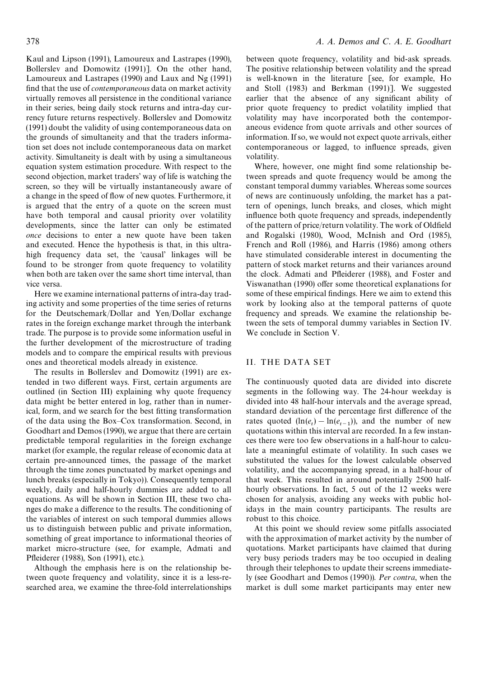Kaul and Lipson (1991), Lamoureux and Lastrapes (1990), Bollerslev and Domowitz (1991)]. On the other hand, Lamoureux and Lastrapes (1990) and Laux and Ng (1991) [find that the use of](#page-8-0) *contemporaneous* [data on market activity](#page-8-0) [virtually removes all persistence in](#page-8-0) the conditional variance [in their series, being daily stock r](#page-8-0)etur[ns and intra-day cur](#page-8-0)rency future returns respectively. Bollerslev and Domowitz (1991) doubt the validity of using contemporaneous data on the grounds of simultaneity and that the traders information set does not include contem[poraneous data on market](#page-8-0) [activit](#page-8-0)y. Simultaneity is dealt with by using a simultaneous equation system estimation procedure. With respect to the second objection, market traders' way of life is watching the screen, so they will be virtually instantaneously aware of a change in the speed of flow of new quotes. Furthermore, it is argued that the entry of a quote on the screen must have both temporal and causal priority over volatility developments, since the latter can only be estimated *once* decisions to enter a new quote have been taken and executed. Hence the hypothesis is that, in this ultrahigh frequency data set, the 'causal' linkages will be found to be stronger from quote frequency to volatility when both are taken over the same short time interval, than vice versa.

Here we examine international patterns of intra-day trading activity and some properties of the time series of returns for the Deutschemark/Dollar and Yen/Dollar exchange rates in the foreign exchange market through the interbank trade. The purpose is to provide some information useful in the further development of the microstructure of trading models and to compare the empirical results with previous ones and theoretical models already in existence.

The results in Bollerslev and Domowitz (1991) are extended in two different ways. First, certain arguments are outlined (in Section III) explaining why quote frequency data might be better entered in log, rather than in numerical, form, and we search for the best fitting transformation of the data using the Box*—*Cox transformation. Second, in Goodhart and Demos (1990), we argue that there are certain predictable temporal regularities in the foreign exchange market (for example, the regular release of economic data at [certain pre-announced time](#page-8-0)s, the passage of the market through the time zones punctuated by market openings and lunch breaks (especially in Tokyo)). Consequently temporal weekly, daily and half-hourly dummies are added to all equations. As will be shown in Section III, these two changes do make a difference to the results. The conditioning of the variables of interest on such temporal dummies allows us to distinguish between public and private information, something of great importance to informational theories of market micro-structure (see, for example, Admati and Pfleiderer (1988), Son (1991), etc.).

Although the emphasis here is on the relationship between quote frequency and volatility, since i[t is a less-re](#page-8-0)[searched area, we examine th](#page-8-0)e three-fold interrelationships between quote frequency, volatility and bid-ask spreads. The positive relationship between volatility and the spread is well-known in the literature [see, for example, Ho and Stoll (1983) and Berkman (1991)]. We suggested earlier that the absence of any significant ability of prior quote frequency to predict volatility implied t[hat](#page-8-0) [volatility may ha](#page-8-0)ve i[ncorporated both](#page-8-0) the contemporaneous evidence from quote arrivals and other sources of information. If so, we would not expect quote arrivals, either contemporaneous or lagged, to influence spreads, given volatility.

Where, however, one might find some relationship between spreads and quote frequency would be among the constant temporal dummy variables. Whereas some sources of news are continuously unfolding, the market has a pattern of openings, lunch breaks, and closes, which might influence both quote frequency and spreads, independently of the pattern of price/return volatility. The work of Oldfield and Rogalski (1980), Wood, McInish and Ord (1985), French and Roll (1986), and Harris (1986) among others have stimulated considerable interest in docume[nting the](#page-8-0) [pattern of stock mark](#page-8-0)e[t returns and their variances around](#page-8-0) [the clock. Admati and](#page-8-0) Pfleid[erer \(1988\), an](#page-8-0)d Foster and Viswanathan (1990) offer some theoretical explanations for some of these empirical findings. Here we aim to extend this work by l[ooking also at the temporal p](#page-8-0)atter[ns of quote](#page-8-0) [frequency and sprea](#page-8-0)ds. We examine the relationship between the sets of temporal dummy variables in Section IV. We conclude in Section V.

## II. THE DATA SET

The continuously quoted data are divided into discrete segments in the following way. The 24-hour weekday is divided into 48 half-hour intervals and the average spread, standard deviation of the percentage first difference of the rates quoted  $(\ln(e_t) - \ln(e_{t-1}))$ , and the number of new quotations within this interval are recorded. In a few instances there were too few observations in a half-hour to calculate a meaningful estimate of volatility. In such cases we substituted the values for the lowest calculable observed volatility, and the accompanying spread, in a half-hour of that week. This resulted in around potentially 2500 halfhourly observations. In fact, 5 out of the 12 weeks were chosen for analysis, avoiding any weeks with public holidays in the main country participants. The results are robust to this choice.

At this point we should review some pitfalls associated with the approximation of market activity by the number of quotations. Market participants have claimed that during very busy periods traders may be too occupied in dealing through their telephones to update their screens immediately (see Goodhart and Demos (1990)). *Per contra*, when the market is dull some market participants may enter new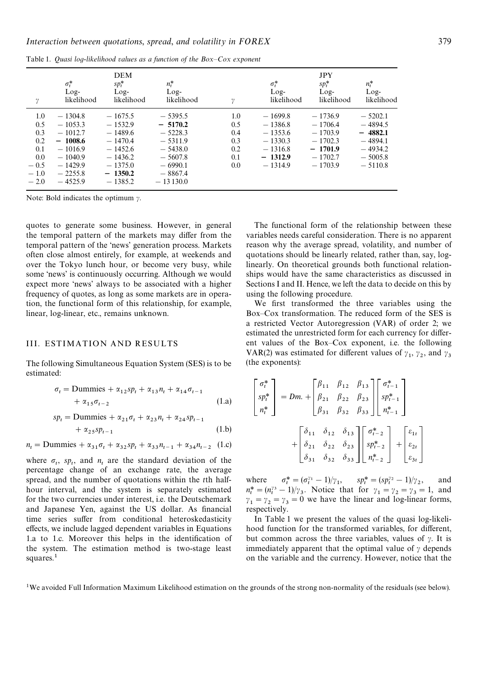<span id="page-2-0"></span>Table 1. *Quasi log*-*likelihood values as a function of the Box—Cox exponent*

| $\gamma$                                                             | $\sigma_t^*$<br>$Log-$<br>likelihood                                                                              | <b>DEM</b><br>$sp_t^*$<br>$Log-$<br>likelihood                                                                    | $n_t^*$<br>$Log-$<br>likelihood                                                                                    | v                                                 | $\sigma_t^*$<br>$Log-$<br>likelihood                                                    | <b>JPY</b><br>$sp_t^*$<br>$Log-$<br>likelihood                                          | $n_t^*$<br>$Log-$<br>likelihood                                                         |
|----------------------------------------------------------------------|-------------------------------------------------------------------------------------------------------------------|-------------------------------------------------------------------------------------------------------------------|--------------------------------------------------------------------------------------------------------------------|---------------------------------------------------|-----------------------------------------------------------------------------------------|-----------------------------------------------------------------------------------------|-----------------------------------------------------------------------------------------|
| 1.0<br>0.5<br>0.3<br>0.2<br>0.1<br>0.0<br>$-0.5$<br>$-1.0$<br>$-2.0$ | $-1304.8$<br>$-1053.3$<br>$-1012.7$<br>$-1008.6$<br>$-1016.9$<br>$-1040.9$<br>$-1429.9$<br>$-2255.8$<br>$-4525.9$ | $-1675.5$<br>$-1532.9$<br>$-1489.6$<br>$-1470.4$<br>$-1452.6$<br>$-1436.2$<br>$-1375.0$<br>$-1350.2$<br>$-1385.2$ | $-5395.5$<br>$-5170.2$<br>$-5228.3$<br>$-5311.9$<br>$-5438.0$<br>$-5607.8$<br>$-6990.1$<br>$-8867.4$<br>$-13130.0$ | 1.0<br>0.5<br>0.4<br>0.3<br>0.2<br>0.1<br>$0.0\,$ | $-1699.8$<br>$-1386.8$<br>$-1353.6$<br>$-1330.3$<br>$-1316.8$<br>$-1312.9$<br>$-1314.9$ | $-1736.9$<br>$-1706.4$<br>$-1703.9$<br>$-1702.3$<br>$-1701.9$<br>$-1702.7$<br>$-1703.9$ | $-5202.1$<br>$-4894.5$<br>$-4882.1$<br>$-4894.1$<br>$-4934.2$<br>$-5005.8$<br>$-5110.8$ |

Note: Bold indicates the optimum  $\gamma$ .

quotes to generate some business. However, in general the temporal pattern of the markets may differ from the temporal pattern of the 'news' generation process. Markets often close almost entirely, for example, at weekends and over the Tokyo lunch hour, or become very busy, while some 'news' is continuously occurring. Although we would expect more 'news' always to be associated with a higher frequency of quotes, as long as some markets are in operation, the functional form of this relationship, for example, linear, log-linear, etc., remains unknown.

### III. ESTIMATION AND RESULTS

The following Simultaneous Equation System (SES) is to be estimated:

$$
\sigma_t = \text{Dummies} + \alpha_{12} s p_t + \alpha_{13} n_t + \alpha_{14} \sigma_{t-1}
$$
  
+ 
$$
\alpha_{15} \sigma_{t-2}
$$
 (1. a)

$$
sp_t = \text{Dummies} + \alpha_{21}\sigma_t + \alpha_{23}n_t + \alpha_{24}sp_{t-1} + \alpha_{25}sp_{t-1}
$$
\n(1.b)

 $n_t =$  Dummies +  $\alpha_{31}\sigma_t + \alpha_{32}sp_t + \alpha_{33}n_{t-1} + \alpha_{34}n_{t-2}$  (1.c)

where  $\sigma_t$ ,  $sp_t$ , and  $n_t$  are the standard deviation of the percentage change of an exchange rate, the average spread, and the number of quotations within the *t*th halfhour interval, and the system is separately estimated for the two currencies under interest, i.e. the Deutschemark and Japanese Yen, against the US dollar. As financial time series suffer from conditional heteroskedasticity effects, we include lagged dependent variables in Equations 1.a to 1.c. Moreover this helps in the identification of the system. The estimation method is two-stage least squares.<sup>1</sup>

The functional form of the relationship between these variables needs careful consideration. There is no apparent reason why the average spread, volatility, and number of quotations should be linearly related, rather than, say, loglinearly. On theoretical grounds both functional relationships would have the same characteristics as discussed in Sections I and II. Hence, we left the data to decide on this by using the following procedure.

We first transformed the three variables using the Box*—*Cox transformation. The reduced form of the SES is a restricted Vector Autoregression (VAR) of order 2; we estimated the unrestricted form for each currency for different values of the Box*—*Cox exponent, i.e. the following VAR(2) was estimated for different values of  $\gamma_1$ ,  $\gamma_2$ , and  $\gamma_3$  (the exponents):

$$
\begin{bmatrix}\n\sigma_t^* \\
sp_t^* \\
n_t^*\n\end{bmatrix} = Dm. + \begin{bmatrix}\n\beta_{11} & \beta_{12} & \beta_{13} \\
\beta_{21} & \beta_{22} & \beta_{23} \\
\beta_{31} & \beta_{32} & \beta_{33}\n\end{bmatrix} \begin{bmatrix}\n\sigma_{t-1}^* \\
sp_{t-1}^* \\
n_{t-1}^* \\
n_{t-1}^*\n\end{bmatrix}
$$
\n
$$
+ \begin{bmatrix}\n\delta_{11} & \delta_{12} & \delta_{13} \\
\delta_{21} & \delta_{22} & \delta_{23} \\
\delta_{31} & \delta_{32} & \delta_{33}\n\end{bmatrix} \begin{bmatrix}\n\sigma_{t-2}^* \\
sp_{t-2}^* \\
n_{t-2}^*\n\end{bmatrix} + \begin{bmatrix}\n\varepsilon_{1t} \\
\varepsilon_{2t} \\
\varepsilon_{3t}\n\end{bmatrix}
$$

where p*\**  $t_t^* = (\sigma_t^{\gamma_1} - 1)/\gamma_1,$   $sp_t^* = (sp_t^{\gamma_2} - 1)/\gamma_2$  $n_t^* = (n_t^{2s} - 1)/\gamma_3$ . Notice that for  $\gamma_1 = \gamma_2 = \gamma_3 = 1$ , and , and  $\gamma_1 = \gamma_2 = \gamma_3 = 0$  we have the linear and log-linear forms, respectively.

In Table 1 we present the values of the quasi log-likelihood function for the transformed variables, for different, but common across the three variables, values of  $\gamma$ . It is immediately apparent that the optimal value of  $\gamma$  depends on the variable and the currency. However, notice that the

<sup>&</sup>lt;sup>1</sup>We avoided Full Information Maximum Likelihood estimation on the grounds of the strong non-normality of the residuals (see below).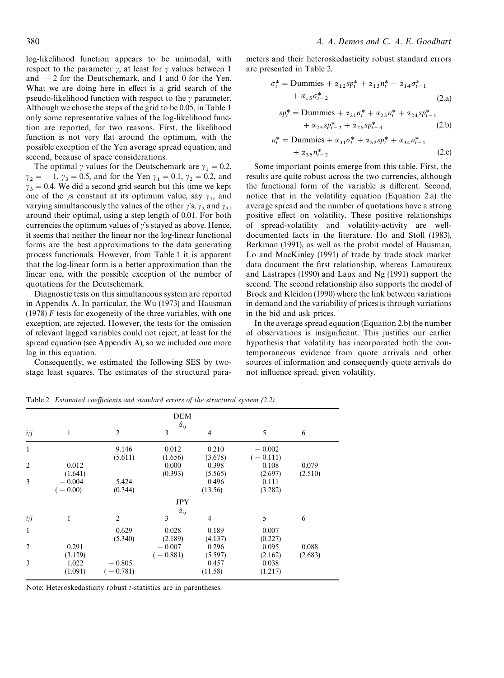<span id="page-3-0"></span>log-likelihood function appears to be unimodal, with respect to the parameter  $\gamma$ , at least for  $\gamma$  values between 1 and  $-2$  for the Deutschemark, and 1 and 0 for the Yen. What we are doing here in effect is a grid search of the pseudo-likelihood function with respect to the  $\gamma$  parameter. Although we chose the steps of the grid to be 0.05, in Table 1 only some representative values of the log-likelihood function are reported, for two reasons. First, the likelihood function is not very flat around the optimum, [with the](#page-2-0) possible exception of the Yen average spread equation, and second, because of space considerations.

The optimal  $\gamma$  values for the Deutschemark are  $\gamma_1 = 0.2$ ,  $\gamma_2 = -1$ ,  $\gamma_3 = 0.5$ , and for the Yen  $\gamma_1 = 0.1$ ,  $\gamma_2 = 0.2$ , and  $y_3 = 0.4$ . We did a second grid search but this time we kept one of the  $\gamma$ s constant at its optimum value, say  $\gamma_1$ , and varying simultaneously the values of the other  $\gamma$ 's,  $\gamma_2$  and  $\gamma_3$ , around their optimal, using a step length of 0.01. For both currencies the optimum values of  $\gamma$ 's stayed as above. Hence, it seems that neither the linear nor the log-linear functional forms are the best approximations to the data generating process functionals. However, from Table 1 it is apparent that the log-linear form is a better approximation than the linear one, with the possible exception of the number of quotations for the Deutschemark.

Diagnostic tests on this simultaneous system are reported in Appendix A. In particular, the Wu (1973) and Hausman (1978) *F* tests for exogeneity of the three variables, with one exception, are rejected. However, the tests for the omission of relevant lagged variables could [not reject,](#page-8-0) at le[ast for the](#page-8-0) [spread](#page-8-0) equation (see Appendix A), so we included one more lag in this equation.

Consequently, we estimated the following SES by twostage least squares. The estimates of the structural parameters and their heteroskedasticity robust standard errors are presented in Table 2.

$$
\sigma_t^* = \text{Dummies} + \alpha_{12} s p_t^* + \alpha_{13} n_t^* + \alpha_{14} \sigma_{t-1}^* + \alpha_{15} \sigma_{t-2}^* \tag{2.3}
$$

$$
sp_t^* = \text{Dummies} + \alpha_{21}\sigma_t^* + \alpha_{23}n_t^* + \alpha_{24}sp_{t-1}^* + \alpha_{25}sp_{t-2}^* + \alpha_{26}sp_{t-3}^* \tag{2.b}
$$

$$
n_t^* = \text{Dummies} + \alpha_{31}\sigma_t^* + \alpha_{32}sp_t^* + \alpha_{34}n_{t-1}^* + \alpha_{35}n_{t-2}^* \tag{2.c}
$$

Some important points emerge from this table. First, the results are quite robust across the two currencies, although the functional form of the variable is different. Second, notice that in the volatility equation (Equation 2.a) the average spread and the number of quotations have a strong positive effect on volatility. These positive relationships of spread-volatility and volatility-activity are welldocumented facts in the literature. Ho and Stoll (1983), Berkman (1991), as well as the probit model of Hausman, Lo and MacKinley (1991) of trade by trade stock market data document the first relationship[, whereas Lamoureux](#page-8-0) [and Lastrapes \(1](#page-8-0)990) and Laux and Ng (1991) s[upport the](#page-8-0) [second. The second relation](#page-8-0)ship also supports the model of Brock and Kleidon (1990) where the link betwee[n variations](#page-8-0) [in demand and the var](#page-8-0)iabi[lity of prices is throug](#page-8-0)h variations in the bid and ask prices.

[In the average spread eq](#page-8-0)uation (Equation 2.b) the number of observations is insignificant. This justifies our earlier hypothesis that volatility has incorporated both the contemporaneous evidence from quote arrivals and other sources of information and consequently quote arrivals do not influence spread, given volatility.

DEM  $\hat{\alpha}_{ij}$ *i*/*j* 1 2 3 4 5 6  $1$  9.146  $0.012$  0.210  $-0.002$  $(5.611)$   $(1.656)$   $(3.678)$   $(-0.111)$ 2 0.012 0.000 0.398 0.108 0.079  $(1.641)$   $(0.393)$   $(5.565)$   $(2.697)$   $(2.510)$  $3 -0.004$   $5.424$  0.496 0.111  $(-0.00)$  (0.344) (13.56) (3.282) JPY  $\hat{\alpha}_{ij}$ *i*/*j* 1 2 3 4 5 6 1 0.629 0.028 0.189 0.007  $(5.340)$   $(2.189)$   $(4.137)$   $(0.227)$ 2 0.291 !0.007 0.296 0.095 0.088  $(3.129)$   $-0.007$   $0.296$   $0.095$   $0.088$ <br>  $(-0.881)$   $(5.597)$   $(2.162)$   $(2.683)$ 3  $1.022 - 0.805$   $0.457$  0.038  $(1.091)$   $(-0.781)$   $(11.58)$   $(1.217)$ 

Table 2. *Estimated coefficients and standard errors of the structural system (2.2)*

Note: Heteroskedasticity robust *t*-statistics are in parentheses.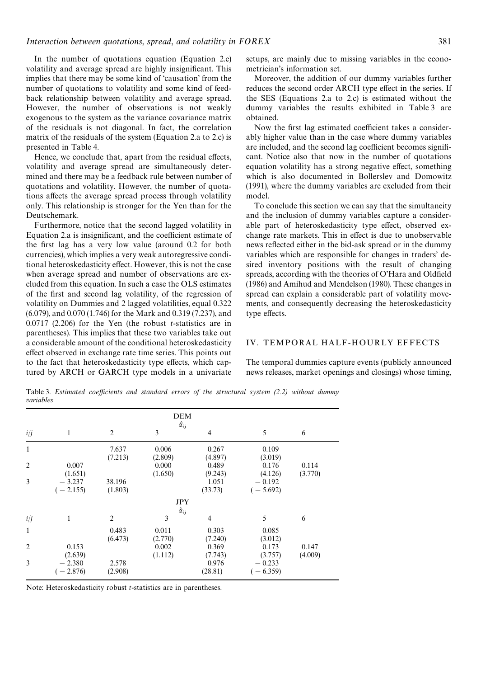In the number of quotations equation (Equation 2.c) volatility and average spread are highly insignificant. This implies that there may be some kind of 'causation' from the number of quotations to volatility and som[e kind of feed](#page-3-0)back relationship between volatility and average spread. However, the number of observations is not weakly exogenous to the system as the variance covariance matrix of the residuals is not diagonal. In fact, the correlation matrix of the residuals of the system (Equation 2.a to 2.c) is presented in Table 4.

Hence, we conclude that, apart from the residual effects, volatility and average spread are [simultaneously dete](#page-3-0)rmined and t[here may](#page-7-0) be a feedback rule between number of quotations and volatility. However, the number of quotations affects the average spread process through volatility only. This relationship is stronger for the Yen than for the Deutschemark.

Furthermore, notice that the second lagged volatility in Equation 2.a is insignificant, and the coefficient estimate of the first lag has a very low value (around 0.2 for both currencies), which implies a very weak autoregressive condi[tional heteros](#page-3-0)kedasticity effect. However, this is not the case when average spread and number of observations are excluded from this equation. In such a case the OLS estimates of the first and second lag volatility, of the regression of volatility on Dummies and 2 lagged volatilities, equal 0.322 (6.079), and 0.070 (1.746) for the Mark and 0.319 (7.237), and 0.0717 (2.206) for the Yen (the robust *t*-statistics are in parentheses). This implies that these two variables take out a considerable amount of the conditional heteroskedasticity effect observed in exchange rate time series. This points out to the fact that heteroskedasticity type effects, which captured by ARCH or GARCH type models in a univariate

setups, are mainly due to missing variables in the econometrician's information set.

Moreover, the addition of our dummy variables further reduces the second order ARCH type effect in the series. If the SES (Equations 2.a to 2.c) is estimated without the dummy variables the results exhibited in Table 3 are obtained.

Now th[e first lag estimated c](#page-3-0)oefficient takes a considerably higher value than in the case where dummy variables are included, and the second lag coefficient becomes significant. Notice also that now in the number of quotations equation volatility has a strong negative effect, something which is also documented in Bollerslev and Domowitz (1991), where the dummy variables are excluded from their model.

To conclude this section we c[an say that the simultaneity](#page-8-0) [and th](#page-8-0)e inclusion of dummy variables capture a considerable part of heteroskedasticity type effect, observed exchange rate markets. This in effect is due to unobservable news reflected either in the bid-ask spread or in the dummy variables which are responsible for changes in traders' desired inventory positions with the result of changing spreads, according with the theories of O'Hara and Oldfield (1986) and Amihud and Mendelson (1980). These changes in spread can explain a considerable part of volatility movements, and consequently decreasing t[he heteroskedasticity](#page-8-0) [type eff](#page-8-0)ect[s.](#page-8-0)

#### IV. TEMPORAL HALF-HOURLY EFFECTS

The temporal dummies capture events (publicly announced news releases, market openings and closings) whose timing,

Table 3. *Estimated coefficients and standard errors of the structural system (2.2) without dummy variables*

| <b>DEM</b>     |                        |                   |                          |                  |                        |                  |  |  |
|----------------|------------------------|-------------------|--------------------------|------------------|------------------------|------------------|--|--|
| i/j            | 1                      | $\overline{c}$    | $\hat{\alpha}_{ij}$<br>3 | 4                | 5                      | 6                |  |  |
| 1              |                        | 7.637<br>(7.213)  | 0.006<br>(2.809)         | 0.267<br>(4.897) | 0.109<br>(3.019)       |                  |  |  |
| $\overline{2}$ | 0.007<br>(1.651)       |                   | 0.000<br>(1.650)         | 0.489<br>(9.243) | 0.176<br>(4.126)       | 0.114<br>(3.770) |  |  |
| 3              | $-3.237$<br>$(-2.155)$ | 38.196<br>(1.803) |                          | 1.051<br>(33.73) | $-0.192$<br>$(-5.692)$ |                  |  |  |
|                | <b>JPY</b>             |                   |                          |                  |                        |                  |  |  |
| i/j            | 1                      | $\overline{c}$    | $\hat{\alpha}_{ij}$<br>3 | $\overline{4}$   | 5                      | 6                |  |  |
| $\mathbf{1}$   |                        | 0.483<br>(6.473)  | 0.011<br>(2.770)         | 0.303<br>(7.240) | 0.085<br>(3.012)       |                  |  |  |
| $\overline{2}$ | 0.153<br>(2.639)       |                   | 0.002<br>(1.112)         | 0.369<br>(7.743) | 0.173<br>(3.757)       | 0.147<br>(4.009) |  |  |
| 3              | $-2.380$<br>$(-2.876)$ | 2.578<br>(2.908)  |                          | 0.976<br>(28.81) | $-0.233$<br>$(-6.359)$ |                  |  |  |

Note: Heteroskedasticity robust *t*-statistics are in parentheses.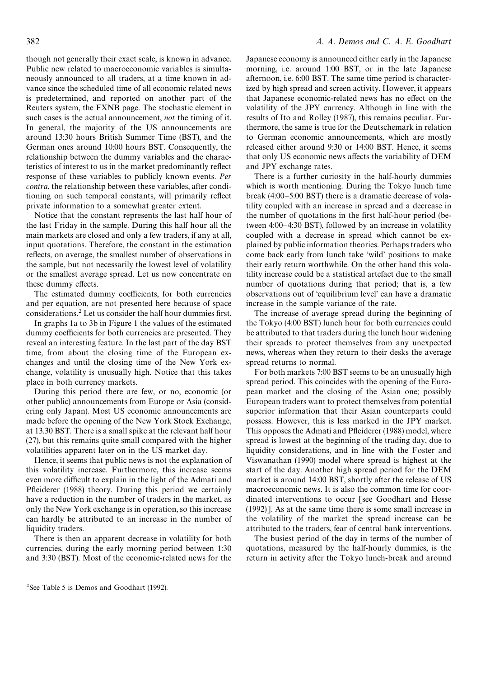though not generally their exact scale, is known in advance. Public new related to macroeconomic variables is simultaneously announced to all traders, at a time known in advance since the scheduled time of all economic related news is predetermined, and reported on another part of the Reuters system, the FXNB page. The stochastic element in such cases is the actual announcement, *not* the timing of it. In general, the majority of the US announcements are around 13:30 hours British Summer Time (BST), and the German ones around 10:00 hours BST. Consequently, the relationship between the dummy variables and the characteristics of interest to us in the market predominantly reflect response of these variables to publicly known events. *Per contra*, the relationship between these variables, after conditioning on such temporal constants, will primarily reflect private information to a somewhat greater extent.

Notice that the constant represents the last half hour of the last Friday in the sample. During this half hour all the main markets are closed and only a few traders, if any at all, input quotations. Therefore, the constant in the estimation reflects, on average, the smallest number of observations in the sample, but not necessarily the lowest level of volatility or the smallest average spread. Let us now concentrate on these dummy effects.

The estimated dummy coefficients, for both currencies and per equation, are not presented here because of space considerations.2 Let us consider the half hour dummies first.

In graphs 1a to 3b in Figure 1 the values of the estimated dummy coefficients for both currencies are presented. They reveal an interesting feature. In the last part of the day BST time, from about the [closing t](#page-6-0)ime of the European exchanges and until the closing time of the New York exchange, volatility is unusually high. Notice that this takes place in both currency markets.

During this period there are few, or no, economic (or other public) announcements from Europe or Asia (considering only Japan). Most US economic announcements are made before the opening of the New York Stock Exchange, at 13.30 BST. There is a small spike at the relevant half hour (27), but this remains quite small compared with the higher volatilities apparent later on in the US market day.

Hence, it seems that public news is not the explanation of this volatility increase. Furthermore, this increase seems even more difficult to explain in the light of the Admati and Pfleiderer (1988) theory. During this period we certainly have a reduction in the number of traders in the market, as only the New York exchange is in operation, so [this increase](#page-8-0) [can hardly be at](#page-8-0)tributed to an increase in the number of liquidity traders.

There is then an apparent decrease in volatility for both currencies, during the early morning period between 1:30 and 3:30 (BST). Most of the economic-related news for the Japanese economy is announced either early in the Japanese morning, i.e. around 1:00 BST, or in the late Japanese afternoon, i.e. 6:00 BST. The same time period is characterized by high spread and screen activity. However, it appears that Japanese economic-related news has no effect on the volatility of the JPY currency. Although in line with the results of Ito and Rolley (1987), this remains peculiar. Furthermore, the same is true for the Deutschemark in relation to German economic announcements, which are mostly released [either around 9:30 or](#page-8-0) 14:00 BST. Hence, it seems that only US economic news affects the variability of DEM and JPY exchange rates.

There is a further curiosity in the half-hourly dummies which is worth mentioning. During the Tokyo lunch time break (4:00*—*5:00 BST) there is a dramatic decrease of volatility coupled with an increase in spread and a decrease in the number of quotations in the first half-hour period (between 4:00*—*4:30 BST), followed by an increase in volatility coupled with a decrease in spread which cannot be explained by public information theories. Perhaps traders who come back early from lunch take 'wild' positions to make their early return worthwhile. On the other hand this volatility increase could be a statistical artefact due to the small number of quotations during that period; that is, a few observations out of 'equilibrium level' can have a dramatic increase in the sample variance of the rate.

The increase of average spread during the beginning of the Tokyo (4:00 BST) lunch hour for both currencies could be attributed to that traders during the lunch hour widening their spreads to protect themselves from any unexpected news, whereas when they return to their desks the average spread returns to normal.

For both markets 7:00 BST seems to be an unusually high spread period. This coincides with the opening of the European market and the closing of the Asian one; possibly European traders want to protect themselves from potential superior information that their Asian counterparts could possess. However, this is less marked in the JPY market. This opposes the Admati and Pfleiderer (1988) model, where spread is lowest at the beginning of the trading day, due to liquidity considerations, and in line with the Foster and Viswanathan (1[990\) model where spread is h](#page-8-0)ighest at the start of the day. Another high spread period for the DEM market is around 14:00 BST, shortly after the r[elease of US](#page-8-0) [macroeconomic new](#page-8-0)s. It is also the common time for coordinated interventions to occur [see Goodhart and Hesse (1992)]. As at the same time there is some small increase in the volatility of the market the spread increase can be attributed to the traders, fear of cent[ral bank interventions.](#page-8-0)

[The](#page-8-0) busiest period of the day in terms of the number of quotations, measured by the half-hourly dummies, is the return in activity after the Tokyo lunch-break and around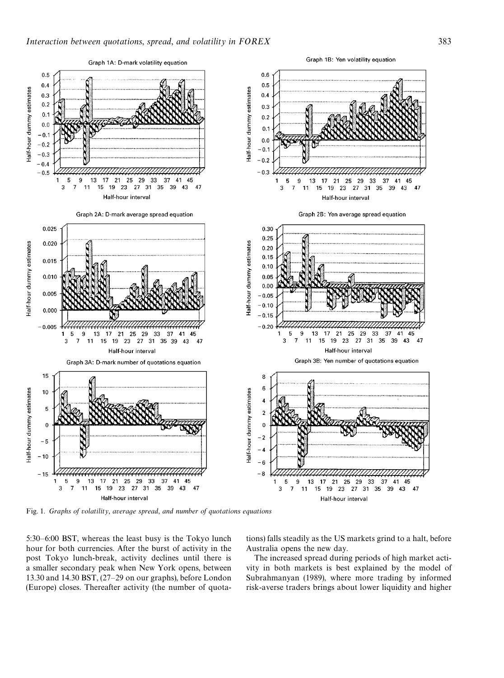<span id="page-6-0"></span>

Fig. 1. *Graphs of volatility*, *average spread*, *and number of quotations equations*

5:30*—*6:00 BST, whereas the least busy is the Tokyo lunch hour for both currencies. After the burst of activity in the post Tokyo lunch-break, activity declines until there is a smaller secondary peak when New York opens, between 13.30 and 14.30 BST, (27*—*29 on our graphs), before London (Europe) closes. Thereafter activity (the number of quotations) falls steadily as the US markets grind to a halt, before Australia opens the new day.

The increased spread during periods of high market activity in both markets is best explained by the model of Subrahmanyan (1989), where more trading by informed risk-averse traders brings about lower liquidity and higher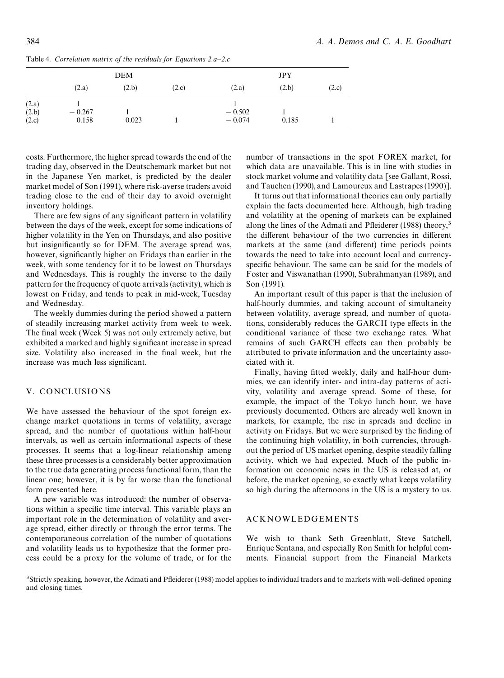|                | <b>DEM</b>        |       |       | <b>JPY</b>           |       |       |
|----------------|-------------------|-------|-------|----------------------|-------|-------|
|                | (2.a)             | (2.b) | (2.c) | (2.a)                | (2.b) | (2.c) |
| (2.a)          |                   |       |       |                      |       |       |
| (2.b)<br>(2.c) | $-0.267$<br>0.158 | 0.023 |       | $-0.502$<br>$-0.074$ | 0.185 |       |

<span id="page-7-0"></span>Table 4. *Correlation matrix of the residuals for Equations 2.a—2.c*

costs. Furthermore, the higher spread towards the end of the trading day, observed in the Deutschemark market but not in the Japanese Yen market, is predicted by the dealer market model of Son (1991), where risk-averse traders avoid trading close to the end of their day to avoid overnight inventory holdings.

There are few [signs of any](#page-8-0) significant pattern in volatility between the days of the week, except for some indications of higher volatility in the Yen on Thursdays, and also positive but insignificantly so for DEM. The average spread was, however, significantly higher on Fridays than earlier in the week, with some tendency for it to be lowest on Thursdays and Wednesdays. This is roughly the inverse to the daily pattern for the frequency of quote arrivals (activity), which is lowest on Friday, and tends to peak in mid-week, Tuesday and Wednesday.

The weekly dummies during the period showed a pattern of steadily increasing market activity from week to week. The final week (Week 5) was not only extremely active, but exhibited a marked and highly significant increase in spread size. Volatility also increased in the final week, but the increase was much less significant.

# V. CONCLUSIONS

We have assessed the behaviour of the spot foreign exchange market quotations in terms of volatility, average spread, and the number of quotations within half-hour intervals, as well as certain informational aspects of these processes. It seems that a log-linear relationship among these three processes is a considerably better approximation to the true data generating process functional form, than the linear one; however, it is by far worse than the functional form presented here.

A new variable was introduced: the number of observations within a specific time interval. This variable plays an important role in the determination of volatility and average spread, either directly or through the error terms. The contemporaneous correlation of the number of quotations and volatility leads us to hypothesize that the former process could be a proxy for the volume of trade, or for the number of transactions in the spot FOREX market, for which data are unavailable. This is in line with studies in stock market volume and volatility data [see Gallant, Rossi, and Tauchen (1990), and Lamoureux and Lastrapes (1990)].

It turns out that informational theories can only partially explain the facts documented here. Althoug[h, high trading](#page-8-0) [and volatility at the](#page-8-0) op[ening of markets can be explaine](#page-8-0)d along the lines of the Admati and Pfleiderer (1988) theory, $3$ the different behaviour of the two currencies in different markets at the same (and different) time periods points towards the need to [take into account local and c](#page-8-0)urrencyspecific behaviour. The same can be said for the models of Foster and Viswanathan (1990), Subrahmanyan (1989), and Son (1991).

An important result of this paper is that the inclusion of [half-hourly dummies, and taking account of simultan](#page-8-0)eity [between vo](#page-8-0)latility, average spread, and number of quotations, considerably reduces the GARCH type effects in the conditional variance of these two exchange rates. What remains of such GARCH effects can then probably be attributed to private information and the uncertainty associated with it.

Finally, having fitted weekly, daily and half-hour dummies, we can identify inter- and intra-day patterns of activity, volatility and average spread. Some of these, for example, the impact of the Tokyo lunch hour, we have previously documented. Others are already well known in markets, for example, the rise in spreads and decline in activity on Fridays. But we were surprised by the finding of the continuing high volatility, in both currencies, throughout the period of US market opening, despite steadily falling activity, which we had expected. Much of the public information on economic news in the US is released at, or before, the market opening, so exactly what keeps volatility so high during the afternoons in the US is a mystery to us.

# ACKNOWLEDGEMENTS

We wish to thank Seth Greenblatt, Steve Satchell, Enrique Sentana, and especially Ron Smith for helpful comments. Financial support from the Financial Markets

3Strictly speaking, however, the Admati and Pfleiderer (1988) model applies to individual traders and to markets with well-defined opening and closing times.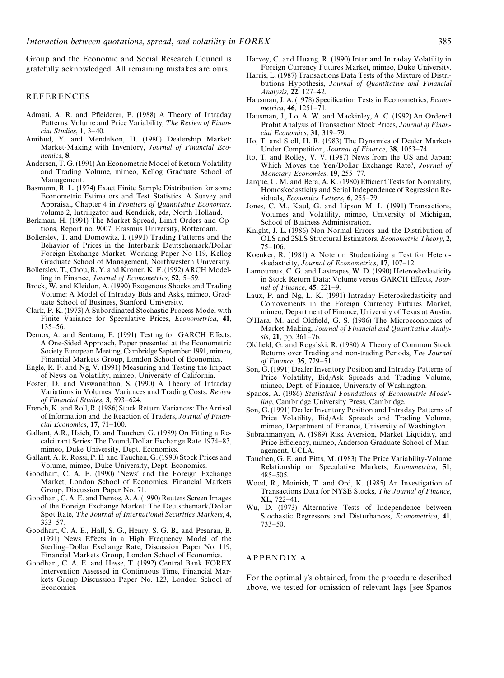<span id="page-8-0"></span>Group and the Economic and Social Research Council is gratefully acknowledged. All remaining mistakes are ours.

#### REFERENCES

- Admati, A. R. and Pfleiderer, P. (1988) A Theory of Intraday Patterns: Volume and Price Variability, The Review of Finan*cial Studies*, 1, 3*—*40.
- Amihud, Y. and Mendelson, H. (1980) Dealership Market: Market-Making with Inventory, *Journal of Financial Economics*, 8.
- Andersen, T. G. (1991) An Econometric Model of Return Volatility and Trading Volume, mimeo, Kellog Graduate School of Management.
- Basmann, R. L. (1974) Exact Finite Sample Distribution for some Econometric Estimators and Test Statistics: A Survey and Appraisal, Chapter 4 in *Frontiers of Quantitative Economics*. volume 2, Intriligator and Kendrick, eds, North Holland.
- Berkman, H. (1991) The Market Spread, Limit Orders and Options, Report no. 9007, Erasmus University, Rotterdam.
- Bollerslev, T. and Domowitz, I. (1991) Trading Patterns and the Behavior of Prices in the Interbank Deutschemark/Dollar Foreign Exchange Market, Working Paper No 119, Kellog Graduate School of Management, Northwestern University.
- Bollerslev, T., Chou, R. Y. and Kroner, K. F. (1992) ARCH Modelling in Finance, *Journal of Econometrics*, 52, 5*—*59.
- Brock, W. and Kleidon, A. (1990) Exogenous Shocks and Trading Volume: A Model of Intraday Bids and Asks, mimeo, Graduate School of Business, Stanford University.
- Clark, P. K. (1973) A Subordinated Stochastic Process Model with Finite Variance for Speculative Prices, *Econometrica*, 41, 135*—*56.
- Demos, A. and Sentana, E. (1991) Testing for GARCH Effects: A One-Sided Approach, Paper presented at the Econometric Society European Meeting, Cambridge September 1991, mimeo, Financial Markets Group, London School of Economics.
- Engle, R. F. and Ng, V. (1991) Measuring and Testing the Impact of News on Volatility, mimeo, University of California.
- Foster, D. and Viswanathan, S. (1990) A Theory of Intraday Variations in Volumes, Variances and Trading Costs, *Review of Financial Studies*, 3, 593*—*624.
- French, K. and Roll, R. (1986) Stock Return Variances: The Arrival of Information and the Reaction of Traders, *Journal of Financial Economics*, 17, 71*—*100.
- Gallant, A.R., Hsieh, D. and Tauchen, G. (1989) On Fitting a Recalcitrant Series: The Pound/Dollar Exchange Rate 1974*—*83, mimeo, Duke University, Dept. Economics.
- Gallant, A. R. Rossi, P. E. and Tauchen, G. (1990) Stock Prices and Volume, mimeo, Duke University, Dept. Economics.
- Goodhart, C. A. E. (1990) 'News' and the Foreign Exchange Market, London School of Economics, Financial Markets Group, Discussion Paper No. 71.
- Goodhart, C. A. E. and Demos, A. A. (1990) Reuters Screen Images of the Foreign Exchange Market: The Deutschemark/Dollar Spot Rate, The Journal of International Securities Markets, 4, 333*—*57.
- Goodhart, C. A. E., Hall, S. G., Henry, S. G. B., and Pesaran, B. (1991) News Effects in a High Frequency Model of the Sterling*—*Dollar Exchange Rate, Discussion Paper No. 119, Financial Markets Group, London School of Economics.
- Goodhart, C. A. E. and Hesse, T. (1992) Central Bank FOREX Intervention Assessed in Continuous Time, Financial Markets Group Discussion Paper No. 123, London School of Economics.
- Harvey, C. and Huang, R. (1990) Inter and Intraday Volatility in Foreign Currency Futures Market, mimeo, Duke University.
- Harris, L. (1987) Transactions Data Tests of the Mixture of Distributions Hypothesis, *Journal of Quantitative and Financial Analysis*, 22, 127*—*42.
- Hausman, J. A. (1978) Specification Tests in Econometrics, *Econometrica*, 46, 1251*—*71.
- Hausman, J., Lo, A. W. and Mackinley, A. C. (1992) An Ordered Probit Analysis of Transaction Stock Prices, *Journal of Financial Economics*, 31, 319*—*79.
- Ho, T. and Stoll, H. R. (1983) The Dynamics of Dealer Markets Under Competition, *Journal of Finance*, 38, 1053*—*74.
- Ito, T. and Rolley, V. V. (1987) News from the US and Japan: Which Moves the Yen/Dollar Exchange Rate?, *Journal of Monetary Economics*, 19, 255*—*77.
- Jarque, C. M. and Bera, A. K. (1980) Efficient Tests for Normality, Homoskedasticity and Serial Independence of Regression Residuals, *Economics Letters*, 6, 255–79.
- Jones, C. M., Kaul, G. and Lipson M. L. (1991) Transactions, Volumes and Volatility, mimeo, University of Michigan, School of Business Administration.
- Knight, J. L. (1986) Non-Normal Errors and the Distribution of OLS and 2SLS Structural Estimators, *Econometric Theory*, 2, 75*—*106.
- Koenker, R. (1981) A Note on Studentizing a Test for Heteroskedasticity, *Journal of Econometrics*, 17, 107*—*12.
- Lamoureux, C. G. and Lastrapes, W. D. (1990) Heteroskedasticity in Stock Return Data: Volume versus GARCH Effects, *Journal of Finance*, 45, 221*—*9.
- Laux, P. and Ng, L. K. (1991) Intraday Heteroskedasticity and Comovements in the Foreign Currency Futures Market, mimeo, Department of Finance, University of Texas at Austin.
- O'Hara, M. and Oldfield, G. S. (1986) The Microeconomics of Market Making, *Journal of Financial and Quantitative Analysis*, 21, pp. 361*—*76.
- Oldfield, G. and Rogalski, R. (1980) A Theory of Common Stock Returns over Trading and non-trading Periods, The Journal *of Finance*, 35, 729*—*51.
- Son, G. (1991) Dealer Inventory Position and Intraday Patterns of Price Volatility, Bid/Ask Spreads and Trading Volume, mimeo, Dept. of Finance, University of Washington.
- Spanos, A. (1986) *Statistical Foundations of Econometric Modelling*, Cambridge University Press, Cambridge.
- Son, G. (1991) Dealer Inventory Position and Intraday Patterns of Price Volatility, Bid/Ask Spreads and Trading Volume, mimeo, Department of Finance, University of Washington.
- Subrahmanyan, A. (1989) Risk Aversion, Market Liquidity, and Price Efficiency, mimeo, Anderson Graduate School of Management, UCLA.
- Tauchen, G. E. and Pitts, M. (1983) The Price Variability-Volume Relationship on Speculative Markets, *Econometrica*, 51, 485*—*505.
- Wood, R., Moinish, T. and Ord, K. (1985) An Investigation of Transactions Data for NYSE Stocks, The Journal of Finance, XL, 722*—*41.
- Wu, D. (1973) Alternative Tests of Independence between Stochastic Regressors and Disturbances, *Econometrica*, 41, 733*—*50.

## APPENDIX A

For the optimal  $\gamma$ 's obtained, from the procedure described above, we tested for omission of relevant lags [see Spanos